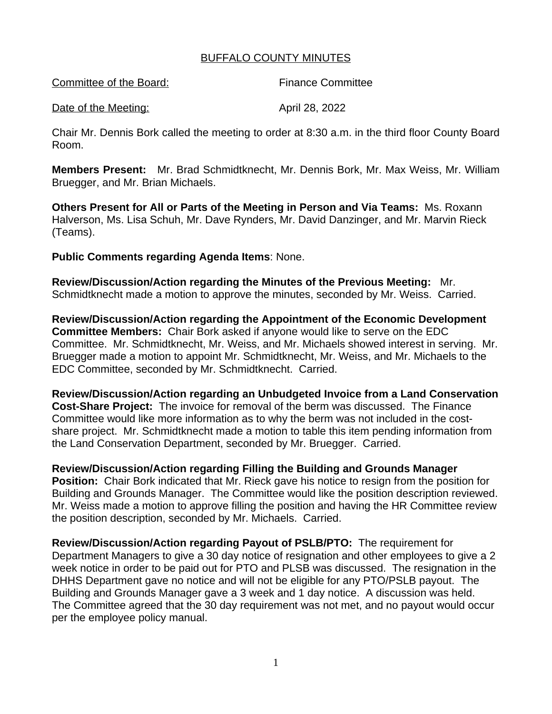## BUFFALO COUNTY MINUTES

| Committee of the Board: | <b>Finance Committee</b> |
|-------------------------|--------------------------|
| Date of the Meeting:    | April 28, 2022           |

Chair Mr. Dennis Bork called the meeting to order at 8:30 a.m. in the third floor County Board Room.

**Members Present:** Mr. Brad Schmidtknecht, Mr. Dennis Bork, Mr. Max Weiss, Mr. William Bruegger, and Mr. Brian Michaels.

**Others Present for All or Parts of the Meeting in Person and Via Teams:** Ms. Roxann Halverson, Ms. Lisa Schuh, Mr. Dave Rynders, Mr. David Danzinger, and Mr. Marvin Rieck (Teams).

## **Public Comments regarding Agenda Items**: None.

**Review/Discussion/Action regarding the Minutes of the Previous Meeting:** Mr. Schmidtknecht made a motion to approve the minutes, seconded by Mr. Weiss. Carried.

**Review/Discussion/Action regarding the Appointment of the Economic Development Committee Members:** Chair Bork asked if anyone would like to serve on the EDC Committee. Mr. Schmidtknecht, Mr. Weiss, and Mr. Michaels showed interest in serving. Mr. Bruegger made a motion to appoint Mr. Schmidtknecht, Mr. Weiss, and Mr. Michaels to the EDC Committee, seconded by Mr. Schmidtknecht. Carried.

**Review/Discussion/Action regarding an Unbudgeted Invoice from a Land Conservation Cost-Share Project:** The invoice for removal of the berm was discussed. The Finance Committee would like more information as to why the berm was not included in the costshare project. Mr. Schmidtknecht made a motion to table this item pending information from the Land Conservation Department, seconded by Mr. Bruegger. Carried.

## **Review/Discussion/Action regarding Filling the Building and Grounds Manager**

**Position:** Chair Bork indicated that Mr. Rieck gave his notice to resign from the position for Building and Grounds Manager. The Committee would like the position description reviewed. Mr. Weiss made a motion to approve filling the position and having the HR Committee review the position description, seconded by Mr. Michaels. Carried.

**Review/Discussion/Action regarding Payout of PSLB/PTO:** The requirement for Department Managers to give a 30 day notice of resignation and other employees to give a 2 week notice in order to be paid out for PTO and PLSB was discussed. The resignation in the DHHS Department gave no notice and will not be eligible for any PTO/PSLB payout. The Building and Grounds Manager gave a 3 week and 1 day notice. A discussion was held. The Committee agreed that the 30 day requirement was not met, and no payout would occur per the employee policy manual.